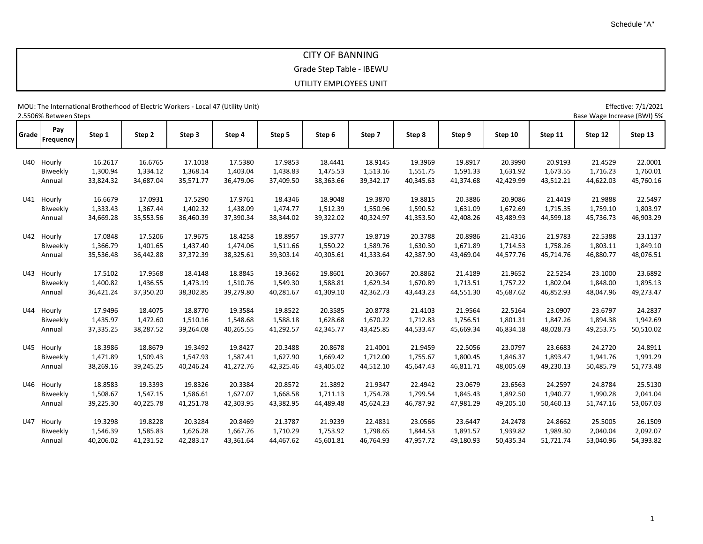## Grade Step Table - IBEWU

#### UTILITY EMPLOYEES UNIT

MOU: The International Brotherhood of Electric Workers - Local 47 (Utility Unit) Effective: 7/1/2021

2.5506% Between Steps Base Wage Increase (BWI) 5% **Grade Pay Frequency Step 1 Step 2 Step 3 Step 4 Step 5 Step 6 Step 7 Step 8 Step 9 Step 10 Step 11 Step 12 Step 13** U40 Hourly 16.2617 16.6765 17.1018 17.5380 17.9853 18.4441 18.9145 19.3969 19.8917 20.3990 20.9193 21.4529 22.0001 Biweekly 1,300.94 1,334.12 1,368.14 1,403.04 1,438.83 1,475.53 1,513.16 1,551.75 1,591.33 1,631.92 1,673.55 1,716.23 1,760.01 Annual 33,824.32 34,687.04 35,571.77 36,479.06 37,409.50 38,363.66 39,342.17 40,345.63 41,374.68 42,429.99 43,512.21 44,622.03 45,760.16 U41 Hourly 16.6679 17.0931 17.5290 17.9761 18.4346 18.9048 19.3870 19.8815 20.3886 20.9086 21.4419 21.9888 22.5497 Biweekly 1,333.43 1,367.44 1,402.32 1,438.09 1,474.77 1,512.39 1,550.96 1,590.52 1,631.09 1,672.69 1,715.35 1,759.10 1,803.97 Annual 34,669.28 35,553.56 36,460.39 37,390.34 38,344.02 39,322.02 40,324.97 41,353.50 42,408.26 43,489.93 44,599.18 45,736.73 46,903.29 U42 Hourly 17.0848 17.5206 17.9675 18.4258 18.8957 19.3777 19.8719 20.3788 20.8986 21.4316 21.9783 22.5388 23.1137 Biweekly 1,366.79 1,401.65 1,437.40 1,474.06 1,511.66 1,550.22 1,589.76 1,630.30 1,671.89 1,714.53 1,758.26 1,803.11 1,849.10 Annual 35,536.48 36,442.88 37,372.39 38,325.61 39,303.14 40,305.61 41,333.64 42,387.90 43,469.04 44,577.76 45,714.76 46,880.77 48,076.51 U43 Hourly 17.5102 17.9568 18.4148 18.8845 19.3662 19.8601 20.3667 20.8862 21.4189 21.9652 22.5254 23.1000 23.6892 Biweekly 1,400.82 1,436.55 1,473.19 1,510.76 1,549.30 1,588.81 1,629.34 1,670.89 1,713.51 1,757.22 1,802.04 1,848.00 1,895.13 Annual 36,421.24 37,350.20 38,302.85 39,279.80 40,281.67 41,309.10 42,362.73 43,443.23 44,551.30 45,687.62 46,852.93 48,047.96 49,273.47 U44 Hourly 17.9496 18.4075 18.8770 19.3584 19.8522 20.3585 20.8778 21.4103 21.9564 22.5164 23.0907 23.6797 24.2837 Biweekly 1,435.97 1,472.60 1,510.16 1,548.68 1,588.18 1,628.68 1,670.22 1,712.83 1,756.51 1,801.31 1,847.26 1,894.38 1,942.69 Annual 37,335.25 38,287.52 39,264.08 40,265.55 41,292.57 42,345.77 43,425.85 44,533.47 45,669.34 46,834.18 48,028.73 49,253.75 50,510.02 U45 Hourly 18.3986 18.8679 19.3492 19.8427 20.3488 20.8678 21.4001 21.9459 22.5056 23.0797 23.6683 24.2720 24.8911 Biweekly 1,471.89 1,509.43 1,547.93 1,587.41 1,627.90 1,669.42 1,712.00 1,755.67 1,800.45 1,846.37 1,893.47 1,941.76 1,991.29 Annual 38,269.16 39,245.25 40,246.24 41,272.76 42,325.46 43,405.02 44,512.10 45,647.43 46,811.71 48,005.69 49,230.13 50,485.79 51,773.48 U46 Hourly 18.8583 19.3393 19.8326 20.3384 20.8572 21.3892 21.9347 22.4942 23.0679 23.6563 24.2597 24.8784 25.5130 Biweekly 1,508.67 1,547.15 1,586.61 1,627.07 1,668.58 1,711.13 1,754.78 1,799.54 1,845.43 1,892.50 1,940.77 1,990.28 2,041.04 Annual 39,225.30 40,225.78 41,251.78 42,303.95 43,382.95 44,489.48 45,624.23 46,787.92 47,981.29 49,205.10 50,460.13 51,747.16 53,067.03 U47 Hourly 19.3298 19.8228 20.3284 20.8469 21.3787 21.9239 22.4831 23.0566 23.6447 24.2478 24.8662 25.5005 26.1509 Biweekly 1,546.39 1,585.83 1,626.28 1,667.76 1,710.29 1,753.92 1,798.65 1,844.53 1,891.57 1,939.82 1,989.30 2,040.04 2,092.07 Annual 40,206.02 41,231.52 42,283.17 43,361.64 44,467.62 45,601.81 46,764.93 47,957.72 49,180.93 50,435.34 51,721.74 53,040.96 54,393.82

1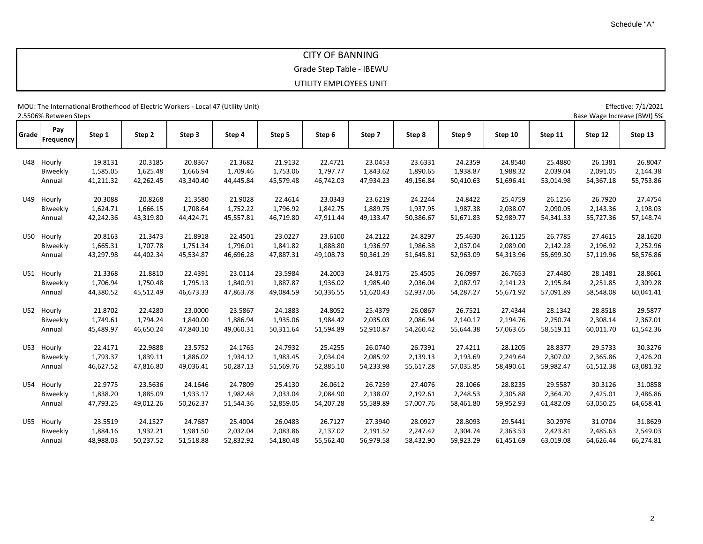## Grade Step Table - IBEWU

#### UTILITY EMPLOYEES UNIT

MOU: The International Brotherhood of Electric Workers - Local 47 (Utility Unit) Effective: 7/1/2021

2.5506% Between Steps Base Wage Increase (BWI) 5% **Grade Pay Frequency Step 1 Step 2 Step 3 Step 4 Step 5 Step 6 Step 7 Step 8 Step 9 Step 10 Step 11 Step 12 Step 13** U48 Hourly 19.8131 20.3185 20.8367 21.3682 21.9132 22.4721 23.0453 23.6331 24.2359 24.8540 25.4880 26.1381 26.8047 Biweekly 1,585.05 1,625.48 1,666.94 1,709.46 1,753.06 1,797.77 1,843.62 1,890.65 1,938.87 1,988.32 2,039.04 2,091.05 2,144.38 Annual 41,211.32 42,262.45 43,340.40 44,445.84 45,579.48 46,742.03 47,934.23 49,156.84 50,410.63 51,696.41 53,014.98 54,367.18 55,753.86 U49 Hourly 20.3088 20.8268 21.3580 21.9028 22.4614 23.0343 23.6219 24.2244 24.8422 25.4759 26.1256 26.7920 27.4754 Biweekly 1,624.71 1,666.15 1,708.64 1,752.22 1,796.92 1,842.75 1,889.75 1,937.95 1,987.38 2,038.07 2,090.05 2,143.36 2,198.03 Annual 42,242.36 43,319.80 44,424.71 45,557.81 46,719.80 47,911.44 49,133.47 50,386.67 51,671.83 52,989.77 54,341.33 55,727.36 57,148.74 U50 Hourly 20.8163 21.3473 21.8918 22.4501 23.0227 23.6100 24.2122 24.8297 25.4630 26.1125 26.7785 27.4615 28.1620 Biweekly 1,665.31 1,707.78 1,751.34 1,796.01 1,841.82 1,888.80 1,936.97 1,986.38 2,037.04 2,089.00 2,142.28 2,196.92 2,252.96 Annual 43,297.98 44,402.34 45,534.87 46,696.28 47,887.31 49,108.73 50,361.29 51,645.81 52,963.09 54,313.96 55,699.30 57,119.96 58,576.86 U51 Hourly 21.3368 21.8810 22.4391 23.0114 23.5984 24.2003 24.8175 25.4505 26.0997 26.7653 27.4480 28.1481 28.8661 Biweekly 1,706.94 1,750.48 1,795.13 1,840.91 1,887.87 1,936.02 1,985.40 2,036.04 2,087.97 2,141.23 2,195.84 2,251.85 2,309.28 Annual 44,380.52 45,512.49 46,673.33 47,863.78 49,084.59 50,336.55 51,620.43 52,937.06 54,287.27 55,671.92 57,091.89 58,548.08 60,041.41 U52 Hourly 21.8702 22.4280 23.0000 23.5867 24.1883 24.8052 25.4379 26.0867 26.7521 27.4344 28.1342 28.8518 29.5877 Biweekly 1,749.61 1,794.24 1,840.00 1,886.94 1,935.06 1,984.42 2,035.03 2,086.94 2,140.17 2,194.76 2,250.74 2,308.14 2,367.01 Annual 45,489.97 46,650.24 47,840.10 49,060.31 50,311.64 51,594.89 52,910.87 54,260.42 55,644.38 57,063.65 58,519.11 60,011.70 61,542.36 U53 Hourly 22.4171 22.9888 23.5752 24.1765 24.7932 25.4255 26.0740 26.7391 27.4211 28.1205 28.8377 29.5733 30.3276 Biweekly 1,793.37 1,839.11 1,886.02 1,934.12 1,983.45 2,034.04 2,085.92 2,139.13 2,193.69 2,249.64 2,307.02 2,365.86 2,426.20 Annual 46,627.52 47,816.80 49,036.41 50,287.13 51,569.76 52,885.10 54,233.98 55,617.28 57,035.85 58,490.61 59,982.47 61,512.38 63,081.32 U54 Hourly 22.9775 23.5636 24.1646 24.7809 25.4130 26.0612 26.7259 27.4076 28.1066 28.8235 29.5587 30.3126 31.0858 Biweekly 1,838.20 1,885.09 1,933.17 1,982.48 2,033.04 2,084.90 2,138.07 2,192.61 2,248.53 2,305.88 2,364.70 2,425.01 2,486.86 Annual 47,793.25 49,012.26 50,262.37 51,544.36 52,859.05 54,207.28 55,589.89 57,007.76 58,461.80 59,952.93 61,482.09 63,050.25 64,658.41 U55 Hourly 23.5519 24.1527 24.7687 25.4004 26.0483 26.7127 27.3940 28.0927 28.8093 29.5441 30.2976 31.0704 31.8629 Biweekly 1,884.16 1,932.21 1,981.50 2,032.04 2,083.86 2,137.02 2,191.52 2,247.42 2,304.74 2,363.53 2,423.81 2,485.63 2,549.03 Annual 48,988.03 50,237.52 51,518.88 52,832.92 54,180.48 55,562.40 56,979.58 58,432.90 59,923.29 61,451.69 63,019.08 64,626.44 66,274.81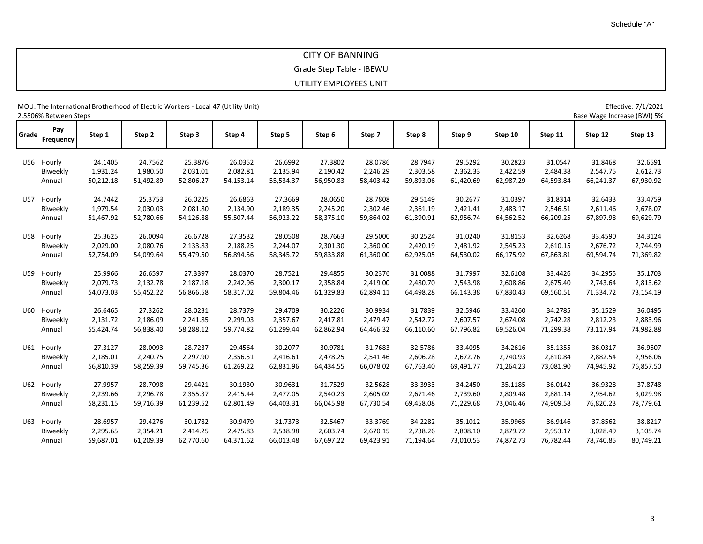## Grade Step Table - IBEWU

#### UTILITY EMPLOYEES UNIT

MOU: The International Brotherhood of Electric Workers - Local 47 (Utility Unit) Effective: 7/1/2021

2.5506% Between Steps Base Wage Increase (BWI) 5% **Grade Pay Frequency Step 1 Step 2 Step 3 Step 4 Step 5 Step 6 Step 7 Step 8 Step 9 Step 10 Step 11 Step 12 Step 13** U56 Hourly 24.1405 24.7562 25.3876 26.0352 26.6992 27.3802 28.0786 28.7947 29.5292 30.2823 31.0547 31.8468 32.6591 Biweekly 1,931.24 1,980.50 2,031.01 2,082.81 2,135.94 2,190.42 2,246.29 2,303.58 2,362.33 2,422.59 2,484.38 2,547.75 2,612.73 Annual 50,212.18 51,492.89 52,806.27 54,153.14 55,534.37 56,950.83 58,403.42 59,893.06 61,420.69 62,987.29 64,593.84 66,241.37 67,930.92 U57 Hourly 24.7442 25.3753 26.0225 26.6863 27.3669 28.0650 28.7808 29.5149 30.2677 31.0397 31.8314 32.6433 33.4759 Biweekly 1,979.54 2,030.03 2,081.80 2,134.90 2,189.35 2,245.20 2,302.46 2,361.19 2,421.41 2,483.17 2,546.51 2,611.46 2,678.07 Annual 51,467.92 52,780.66 54,126.88 55,507.44 56,923.22 58,375.10 59,864.02 61,390.91 62,956.74 64,562.52 66,209.25 67,897.98 69,629.79 U58 Hourly 25.3625 26.0094 26.6728 27.3532 28.0508 28.7663 29.5000 30.2524 31.0240 31.8153 32.6268 33.4590 34.3124 Biweekly 2,029.00 2,080.76 2,133.83 2,188.25 2,244.07 2,301.30 2,360.00 2,420.19 2,481.92 2,545.23 2,610.15 2,676.72 2,744.99 Annual 52,754.09 54,099.64 55,479.50 56,894.56 58,345.72 59,833.88 61,360.00 62,925.05 64,530.02 66,175.92 67,863.81 69,594.74 71,369.82 U59 Hourly 25.9966 26.6597 27.3397 28.0370 28.7521 29.4855 30.2376 31.0088 31.7997 32.6108 33.4426 34.2955 35.1703 Biweekly 2,079.73 2,132.78 2,187.18 2,242.96 2,300.17 2,358.84 2,419.00 2,480.70 2,543.98 2,608.86 2,675.40 2,743.64 2,813.62 Annual 54,073.03 55,452.22 56,866.58 58,317.02 59,804.46 61,329.83 62,894.11 64,498.28 66,143.38 67,830.43 69,560.51 71,334.72 73,154.19 U60 Hourly 26.6465 27.3262 28.0231 28.7379 29.4709 30.2226 30.9934 31.7839 32.5946 33.4260 34.2785 35.1529 36.0495 Biweekly 2,131.72 2,186.09 2,241.85 2,299.03 2,357.67 2,417.81 2,479.47 2,542.72 2,607.57 2,674.08 2,742.28 2,812.23 2,883.96 Annual 55,424.74 56,838.40 58,288.12 59,774.82 61,299.44 62,862.94 64,466.32 66,110.60 67,796.82 69,526.04 71,299.38 73,117.94 74,982.88 U61 Hourly 27.3127 28.0093 28.7237 29.4564 30.2077 30.9781 31.7683 32.5786 33.4095 34.2616 35.1355 36.0317 36.9507 Biweekly 2,185.01 2,240.75 2,297.90 2,356.51 2,416.61 2,478.25 2,541.46 2,606.28 2,672.76 2,740.93 2,810.84 2,882.54 2,956.06 Annual 56,810.39 58,259.39 59,745.36 61,269.22 62,831.96 64,434.55 66,078.02 67,763.40 69,491.77 71,264.23 73,081.90 74,945.92 76,857.50 U62 Hourly 27.9957 28.7098 29.4421 30.1930 30.9631 31.7529 32.5628 33.3933 34.2450 35.1185 36.0142 36.9328 37.8748 Biweekly 2,239.66 2,296.78 2,355.37 2,415.44 2,477.05 2,540.23 2,605.02 2,671.46 2,739.60 2,809.48 2,881.14 2,954.62 3,029.98 Annual 58,231.15 59,716.39 61,239.52 62,801.49 64,403.31 66,045.98 67,730.54 69,458.08 71,229.68 73,046.46 74,909.58 76,820.23 78,779.61 U63 Hourly 28.6957 29.4276 30.1782 30.9479 31.7373 32.5467 33.3769 34.2282 35.1012 35.9965 36.9146 37.8562 38.8217 Biweekly 2,295.65 2,354.21 2,414.25 2,475.83 2,538.98 2,603.74 2,670.15 2,738.26 2,808.10 2,879.72 2,953.17 3,028.49 3,105.74 Annual 59,687.01 61,209.39 62,770.60 64,371.62 66,013.48 67,697.22 69,423.91 71,194.64 73,010.53 74,872.73 76,782.44 78,740.85 80,749.21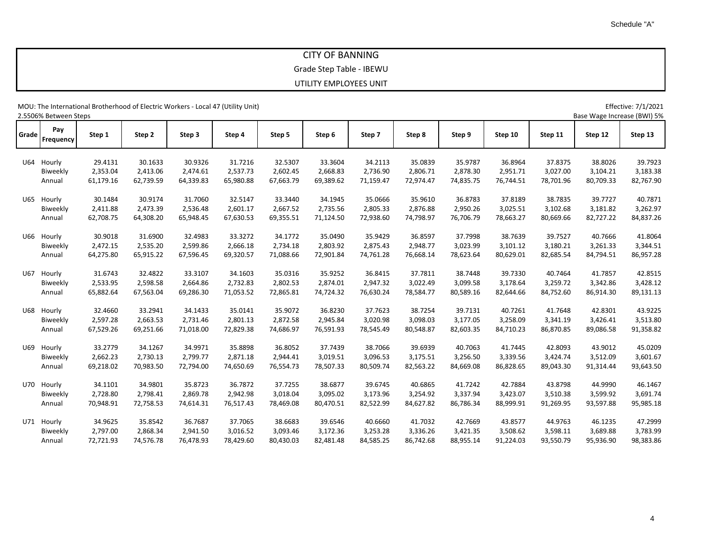## Grade Step Table - IBEWU

#### UTILITY EMPLOYEES UNIT

MOU: The International Brotherhood of Electric Workers - Local 47 (Utility Unit) Effective: 7/1/2021

2.5506% Between Steps Base Wage Increase (BWI) 5% **Grade Pay Frequency Step 1 Step 2 Step 3 Step 4 Step 5 Step 6 Step 7 Step 8 Step 9 Step 10 Step 11 Step 12 Step 13** U64 Hourly 29.4131 30.1633 30.9326 31.7216 32.5307 33.3604 34.2113 35.0839 35.9787 36.8964 37.8375 38.8026 39.7923 Biweekly 2,353.04 2,413.06 2,474.61 2,537.73 2,602.45 2,668.83 2,736.90 2,806.71 2,878.30 2,951.71 3,027.00 3,104.21 3,183.38 Annual 61,179.16 62,739.59 64,339.83 65,980.88 67,663.79 69,389.62 71,159.47 72,974.47 74,835.75 76,744.51 78,701.96 80,709.33 82,767.90 U65 Hourly 30.1484 30.9174 31.7060 32.5147 33.3440 34.1945 35.0666 35.9610 36.8783 37.8189 38.7835 39.7727 40.7871 Biweekly 2,411.88 2,473.39 2,536.48 2,601.17 2,667.52 2,735.56 2,805.33 2,876.88 2,950.26 3,025.51 3,102.68 3,181.82 3,262.97 Annual 62,708.75 64,308.20 65,948.45 67,630.53 69,355.51 71,124.50 72,938.60 74,798.97 76,706.79 78,663.27 80,669.66 82,727.22 84,837.26 U66 Hourly 30.9018 31.6900 32.4983 33.3272 34.1772 35.0490 35.9429 36.8597 37.7998 38.7639 39.7527 40.7666 41.8064 Biweekly 2,472.15 2,535.20 2,599.86 2,666.18 2,734.18 2,803.92 2,875.43 2,948.77 3,023.99 3,101.12 3,180.21 3,261.33 3,344.51 Annual 64,275.80 65,915.22 67,596.45 69,320.57 71,088.66 72,901.84 74,761.28 76,668.14 78,623.64 80,629.01 82,685.54 84,794.51 86,957.28 U67 Hourly 31.6743 32.4822 33.3107 34.1603 35.0316 35.9252 36.8415 37.7811 38.7448 39.7330 40.7464 41.7857 42.8515 Biweekly 2,533.95 2,598.58 2,664.86 2,732.83 2,802.53 2,874.01 2,947.32 3,022.49 3,099.58 3,178.64 3,259.72 3,342.86 3,428.12 Annual 65,882.64 67,563.04 69,286.30 71,053.52 72,865.81 74,724.32 76,630.24 78,584.77 80,589.16 82,644.66 84,752.60 86,914.30 89,131.13 U68 Hourly 32.4660 33.2941 34.1433 35.0141 35.9072 36.8230 37.7623 38.7254 39.7131 40.7261 41.7648 42.8301 43.9225 Biweekly 2,597.28 2,663.53 2,731.46 2,801.13 2,872.58 2,945.84 3,020.98 3,098.03 3,177.05 3,258.09 3,341.19 3,426.41 3,513.80 Annual 67,529.26 69,251.66 71,018.00 72,829.38 74,686.97 76,591.93 78,545.49 80,548.87 82,603.35 84,710.23 86,870.85 89,086.58 91,358.82 U69 Hourly 33.2779 34.1267 34.9971 35.8898 36.8052 37.7439 38.7066 39.6939 40.7063 41.7445 42.8093 43.9012 45.0209 Biweekly 2,662.23 2,730.13 2,799.77 2,871.18 2,944.41 3,019.51 3,096.53 3,175.51 3,256.50 3,339.56 3,424.74 3,512.09 3,601.67 Annual 69,218.02 70,983.50 72,794.00 74,650.69 76,554.73 78,507.33 80,509.74 82,563.22 84,669.08 86,828.65 89,043.30 91,314.44 93,643.50 U70 Hourly 34.1101 34.9801 35.8723 36.7872 37.7255 38.6877 39.6745 40.6865 41.7242 42.7884 43.8798 44.9990 46.1467 Biweekly 2,728.80 2,798.41 2,869.78 2,942.98 3,018.04 3,095.02 3,173.96 3,254.92 3,337.94 3,423.07 3,510.38 3,599.92 3,691.74 Annual 70,948.91 72,758.53 74,614.31 76,517.43 78,469.08 80,470.51 82,522.99 84,627.82 86,786.34 88,999.91 91,269.95 93,597.88 95,985.18 U71 Hourly 34.9625 35.8542 36.7687 37.7065 38.6683 39.6546 40.6660 41.7032 42.7669 43.8577 44.9763 46.1235 47.2999 Biweekly 2,797.00 2,868.34 2,941.50 3,016.52 3,093.46 3,172.36 3,253.28 3,336.26 3,421.35 3,508.62 3,598.11 3,689.88 3,783.99 Annual 72,721.93 74,576.78 76,478.93 78,429.60 80,430.03 82,481.48 84,585.25 86,742.68 88,955.14 91,224.03 93,550.79 95,936.90 98,383.86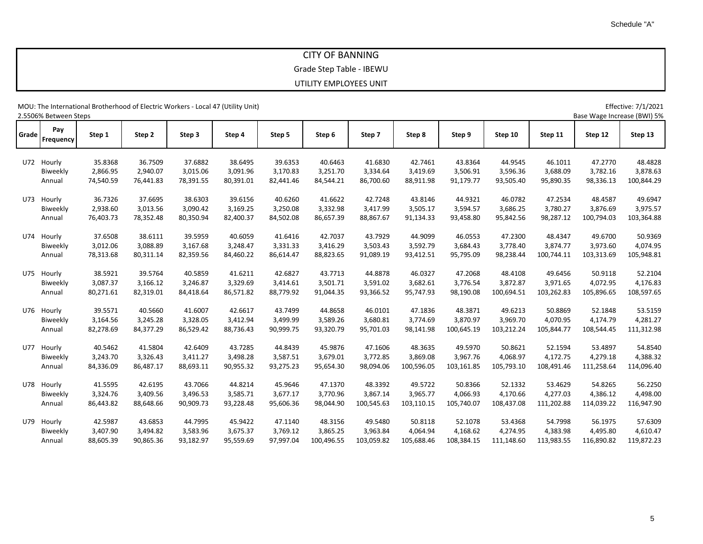## Grade Step Table - IBEWU

#### UTILITY EMPLOYEES UNIT

MOU: The International Brotherhood of Electric Workers - Local 47 (Utility Unit) Effective: 7/1/2021

2.5506% Between Steps Base Wage Increase (BWI) 5% **Grade Pay Frequency Step 1 Step 2 Step 3 Step 4 Step 5 Step 6 Step 7 Step 8 Step 9 Step 10 Step 11 Step 12 Step 13** U72 Hourly 35.8368 36.7509 37.6882 38.6495 39.6353 40.6463 41.6830 42.7461 43.8364 44.9545 46.1011 47.2770 48.4828 Biweekly 2,866.95 2,940.07 3,015.06 3,091.96 3,170.83 3,251.70 3,334.64 3,419.69 3,506.91 3,596.36 3,688.09 3,782.16 3,878.63 Annual 74,540.59 76,441.83 78,391.55 80,391.01 82,441.46 84,544.21 86,700.60 88,911.98 91,179.77 93,505.40 95,890.35 98,336.13 100,844.29 U73 Hourly 36.7326 37.6695 38.6303 39.6156 40.6260 41.6622 42.7248 43.8146 44.9321 46.0782 47.2534 48.4587 49.6947 Biweekly 2,938.60 3,013.56 3,090.42 3,169.25 3,250.08 3,332.98 3,417.99 3,505.17 3,594.57 3,686.25 3,780.27 3,876.69 3,975.57 Annual 76,403.73 78,352.48 80,350.94 82,400.37 84,502.08 86,657.39 88,867.67 91,134.33 93,458.80 95,842.56 98,287.12 100,794.03 103,364.88 U74 Hourly 37.6508 38.6111 39.5959 40.6059 41.6416 42.7037 43.7929 44.9099 46.0553 47.2300 48.4347 49.6700 50.9369 Biweekly 3,012.06 3,088.89 3,167.68 3,248.47 3,331.33 3,416.29 3,503.43 3,592.79 3,684.43 3,778.40 3,874.77 3,973.60 4,074.95 Annual 78,313.68 80,311.14 82,359.56 84,460.22 86,614.47 88,823.65 91,089.19 93,412.51 95,795.09 98,238.44 100,744.11 103,313.69 105,948.81 U75 Hourly 38.5921 39.5764 40.5859 41.6211 42.6827 43.7713 44.8878 46.0327 47.2068 48.4108 49.6456 50.9118 52.2104 Biweekly 3,087.37 3,166.12 3,246.87 3,329.69 3,414.61 3,501.71 3,591.02 3,682.61 3,776.54 3,872.87 3,971.65 4,072.95 4,176.83 Annual 80,271.61 82,319.01 84,418.64 86,571.82 88,779.92 91,044.35 93,366.52 95,747.93 98,190.08 100,694.51 103,262.83 105,896.65 108,597.65 U76 Hourly 39.5571 40.5660 41.6007 42.6617 43.7499 44.8658 46.0101 47.1836 48.3871 49.6213 50.8869 52.1848 53.5159 Biweekly 3,164.56 3,245.28 3,328.05 3,412.94 3,499.99 3,589.26 3,680.81 3,774.69 3,870.97 3,969.70 4,070.95 4,174.79 4,281.27 Annual 82,278.69 84,377.29 86,529.42 88,736.43 90,999.75 93,320.79 95,701.03 98,141.98 100,645.19 103,212.24 105,844.77 108,544.45 111,312.98 U77 Hourly 40.5462 41.5804 42.6409 43.7285 44.8439 45.9876 47.1606 48.3635 49.5970 50.8621 52.1594 53.4897 54.8540 Biweekly 3,243.70 3,326.43 3,411.27 3,498.28 3,587.51 3,679.01 3,772.85 3,869.08 3,967.76 4,068.97 4,172.75 4,279.18 4,388.32 Annual 84,336.09 86,487.17 88,693.11 90,955.32 93,275.23 95,654.30 98,094.06 100,596.05 103,161.85 105,793.10 108,491.46 111,258.64 114,096.40 U78 Hourly 41.5595 42.6195 43.7066 44.8214 45.9646 47.1370 48.3392 49.5722 50.8366 52.1332 53.4629 54.8265 56.2250 Biweekly 3,324.76 3,409.56 3,496.53 3,585.71 3,677.17 3,770.96 3,867.14 3,965.77 4,066.93 4,170.66 4,277.03 4,386.12 4,498.00 Annual 86,443.82 88,648.66 90,909.73 93,228.48 95,606.36 98,044.90 100,545.63 103,110.15 105,740.07 108,437.08 111,202.88 114,039.22 116,947.90 U79 Hourly 42.5987 43.6853 44.7995 45.9422 47.1140 48.3156 49.5480 50.8118 52.1078 53.4368 54.7998 56.1975 57.6309 Biweekly 3,407.90 3,494.82 3,583.96 3,675.37 3,769.12 3,865.25 3,963.84 4,064.94 4,168.62 4,274.95 4,383.98 4,495.80 4,610.47 Annual 88,605.39 90,865.36 93,182.97 95,559.69 97,997.04 100,496.55 103,059.82 105,688.46 108,384.15 111,148.60 113,983.55 116,890.82 119,872.23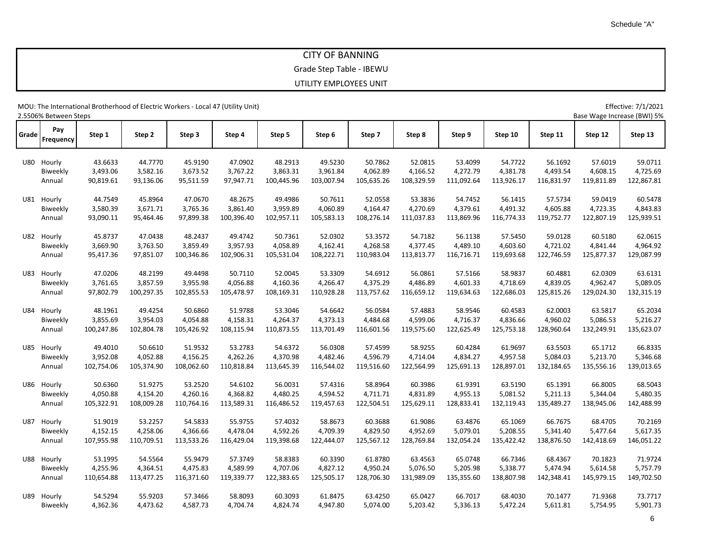### Grade Step Table - IBEWU

#### UTILITY EMPLOYEES UNIT

MOU: The International Brotherhood of Electric Workers - Local 47 (Utility Unit) Effective: 7/1/2021

2.5506% Between Steps Base Wage Increase (BWI) 5% **Grade Pay Frequency Step 1 Step 2 Step 3 Step 4 Step 5 Step 6 Step 7 Step 8 Step 9 Step 10 Step 11 Step 12 Step 13** U80 Hourly 43.6633 44.7770 45.9190 47.0902 48.2913 49.5230 50.7862 52.0815 53.4099 54.7722 56.1692 57.6019 59.0711 Biweekly 3,493.06 3,582.16 3,673.52 3,767.22 3,863.31 3,961.84 4,062.89 4,166.52 4,272.79 4,381.78 4,493.54 4,608.15 4,725.69 Annual 90,819.61 93,136.06 95,511.59 97,947.71 100,445.96 103,007.94 105,635.26 108,329.59 111,092.64 113,926.17 116,831.97 119,811.89 122,867.81 U81 Hourly 44.7549 45.8964 47.0670 48.2675 49.4986 50.7611 52.0558 53.3836 54.7452 56.1415 57.5734 59.0419 60.5478 Biweekly 3,580.39 3,671.71 3,765.36 3,861.40 3,959.89 4,060.89 4,164.47 4,270.69 4,379.61 4,491.32 4,605.88 4,723.35 4,843.83 Annual 93,090.11 95,464.46 97,899.38 100,396.40 102,957.11 105,583.13 108,276.14 111,037.83 113,869.96 116,774.33 119,752.77 122,807.19 125,939.51 U82 Hourly 45.8737 47.0438 48.2437 49.4742 50.7361 52.0302 53.3572 54.7182 56.1138 57.5450 59.0128 60.5180 62.0615 Biweekly 3,669.90 3,763.50 3,859.49 3,957.93 4,058.89 4,162.41 4,268.58 4,377.45 4,489.10 4,603.60 4,721.02 4,841.44 4,964.92 Annual 95,417.36 97,851.07 100,346.86 102,906.31 105,531.04 108,222.71 110,983.04 113,813.77 116,716.71 119,693.68 122,746.59 125,877.37 129,087.99 U83 Hourly 47.0206 48.2199 49.4498 50.7110 52.0045 53.3309 54.6912 56.0861 57.5166 58.9837 60.4881 62.0309 63.6131 Biweekly 3,761.65 3,857.59 3,955.98 4,056.88 4,160.36 4,266.47 4,375.29 4,486.89 4,601.33 4,718.69 4,839.05 4,962.47 5,089.05 Annual 97,802.79 100,297.35 102,855.53 105,478.97 108,169.31 110,928.28 113,757.62 116,659.12 119,634.63 122,686.03 125,815.26 129,024.30 132,315.19 U84 Hourly 48.1961 49.4254 50.6860 51.9788 53.3046 54.6642 56.0584 57.4883 58.9546 60.4583 62.0003 63.5817 65.2034 Biweekly 3,855.69 3,954.03 4,054.88 4,158.31 4,264.37 4,373.13 4,484.68 4,599.06 4,716.37 4,836.66 4,960.02 5,086.53 5,216.27 Annual 100,247.86 102,804.78 105,426.92 108,115.94 110,873.55 113,701.49 116,601.56 119,575.60 122,625.49 125,753.18 128,960.64 132,249.91 135,623.07 U85 Hourly 49.4010 50.6610 51.9532 53.2783 54.6372 56.0308 57.4599 58.9255 60.4284 61.9697 63.5503 65.1712 66.8335 Biweekly 3,952.08 4,052.88 4,156.25 4,262.26 4,370.98 4,482.46 4,596.79 4,714.04 4,834.27 4,957.58 5,084.03 5,213.70 5,346.68 Annual 102,754.06 105,374.90 108,062.60 110,818.84 113,645.39 116,544.02 119,516.60 122,564.99 125,691.13 128,897.01 132,184.65 135,556.16 139,013.65 U86 Hourly 50.6360 51.9275 53.2520 54.6102 56.0031 57.4316 58.8964 60.3986 61.9391 63.5190 65.1391 66.8005 68.5043 Biweekly 4,050.88 4,154.20 4,260.16 4,368.82 4,480.25 4,594.52 4,711.71 4,831.89 4,955.13 5,081.52 5,211.13 5,344.04 5,480.35 Annual 105,322.91 108,009.28 110,764.16 113,589.31 116,486.52 119,457.63 122,504.51 125,629.11 128,833.41 132,119.43 135,489.27 138,945.06 142,488.99 U87 Hourly 51.9019 53.2257 54.5833 55.9755 57.4032 58.8673 60.3688 61.9086 63.4876 65.1069 66.7675 68.4705 70.2169 Biweekly 4,152.15 4,258.06 4,366.66 4,478.04 4,592.26 4,709.39 4,829.50 4,952.69 5,079.01 5,208.55 5,341.40 5,477.64 5,617.35 Annual 107,955.98 110,709.51 113,533.26 116,429.04 119,398.68 122,444.07 125,567.12 128,769.84 132,054.24 135,422.42 138,876.50 142,418.69 146,051.22 U88 Hourly 53.1995 54.5564 55.9479 57.3749 58.8383 60.3390 61.8780 63.4563 65.0748 66.7346 68.4367 70.1823 71.9724 Biweekly 4,255.96 4,364.51 4,475.83 4,589.99 4,707.06 4,827.12 4,950.24 5,076.50 5,205.98 5,338.77 5,474.94 5,614.58 5,757.79 Annual 110,654.88 113,477.25 116,371.60 119,339.77 122,383.65 125,505.17 128,706.30 131,989.09 135,355.60 138,807.98 142,348.41 145,979.15 149,702.50 U89 Hourly 54.5294 55.9203 57.3466 58.8093 60.3093 61.8475 63.4250 65.0427 66.7017 68.4030 70.1477 71.9368 73.7717 Biweekly 4,362.36 4,473.62 4,587.73 4,704.74 4,824.74 4,947.80 5,074.00 5,203.42 5,336.13 5,472.24 5,611.81 5,754.95 5,901.73

6